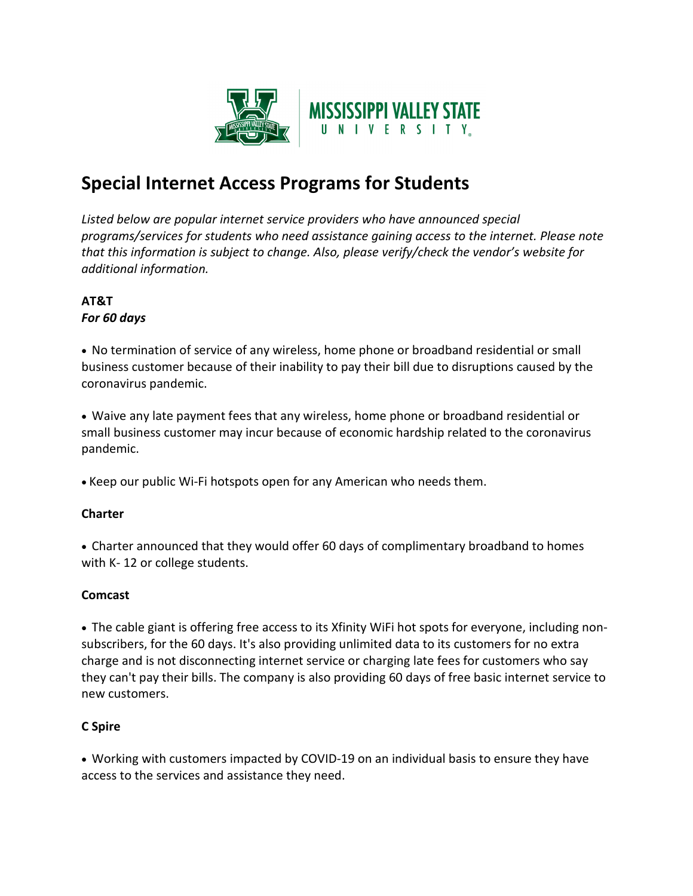

# **Special Internet Access Programs for Students**

*Listed below are popular internet service providers who have announced special programs/services for students who need assistance gaining access to the internet. Please note that this information is subject to change. Also, please verify/check the vendor's website for additional information.* 

#### **AT&T** *For 60 days*

• No termination of service of any wireless, home phone or broadband residential or small business customer because of their inability to pay their bill due to disruptions caused by the coronavirus pandemic.

• Waive any late payment fees that any wireless, home phone or broadband residential or small business customer may incur because of economic hardship related to the coronavirus pandemic.

• Keep our public Wi-Fi hotspots open for any American who needs them.

# **Charter**

• Charter announced that they would offer 60 days of complimentary broadband to homes with K- 12 or college students.

#### **Comcast**

• The cable giant is offering free access to its Xfinity WiFi hot spots for everyone, including nonsubscribers, for the 60 days. It's also providing unlimited data to its customers for no extra charge and is not disconnecting internet service or charging late fees for customers who say they can't pay their bills. The company is also providing 60 days of free basic internet service to new customers.

# **C Spire**

• Working with customers impacted by COVID-19 on an individual basis to ensure they have access to the services and assistance they need.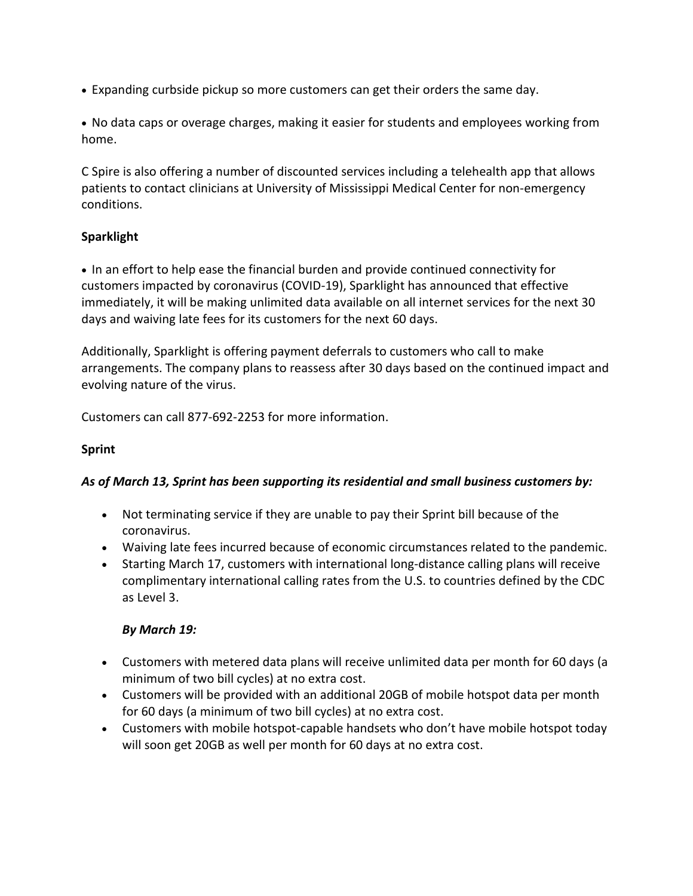• Expanding curbside pickup so more customers can get their orders the same day.

• No data caps or overage charges, making it easier for students and employees working from home.

C Spire is also offering a number of discounted services including a telehealth app that allows patients to contact clinicians at University of Mississippi Medical Center for non-emergency conditions.

### **Sparklight**

• In an effort to help ease the financial burden and provide continued connectivity for customers impacted by coronavirus (COVID-19), Sparklight has announced that effective immediately, it will be making unlimited data available on all internet services for the next 30 days and waiving late fees for its customers for the next 60 days.

Additionally, Sparklight is offering payment deferrals to customers who call to make arrangements. The company plans to reassess after 30 days based on the continued impact and evolving nature of the virus.

Customers can call 877-692-2253 for more information.

#### **Sprint**

#### *As of March 13, Sprint has been supporting its residential and small business customers by:*

- Not terminating service if they are unable to pay their Sprint bill because of the coronavirus.
- Waiving late fees incurred because of economic circumstances related to the pandemic.
- Starting March 17, customers with international long-distance calling plans will receive complimentary international calling rates from the U.S. to countries defined by the CDC as Level 3.

#### *By March 19:*

- Customers with metered data plans will receive unlimited data per month for 60 days (a minimum of two bill cycles) at no extra cost.
- Customers will be provided with an additional 20GB of mobile hotspot data per month for 60 days (a minimum of two bill cycles) at no extra cost.
- Customers with mobile hotspot-capable handsets who don't have mobile hotspot today will soon get 20GB as well per month for 60 days at no extra cost.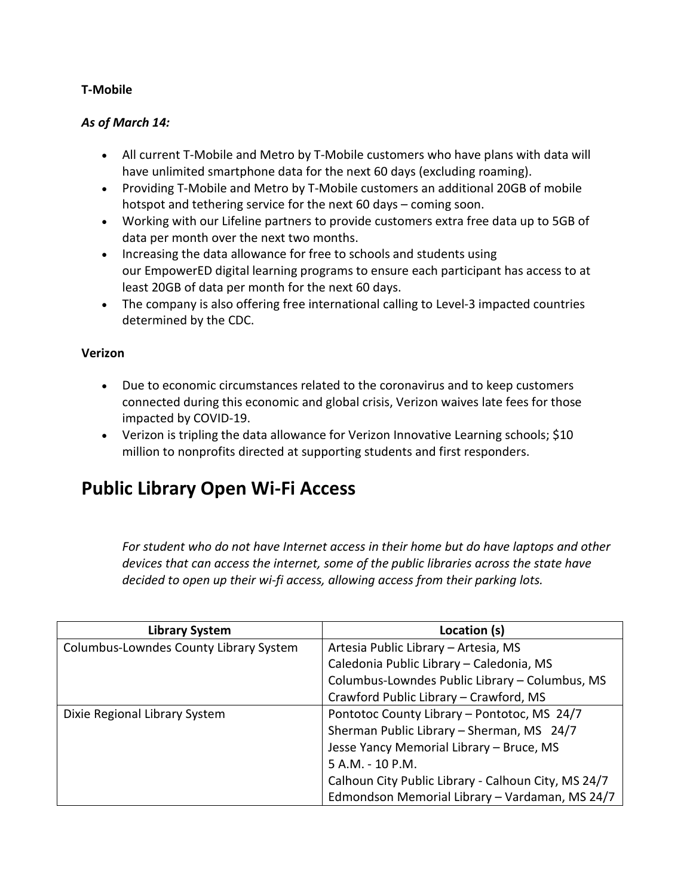#### **T-Mobile**

#### *As of March 14:*

- All current T-Mobile and Metro by T-Mobile customers who have plans with data will have unlimited smartphone data for the next 60 days (excluding roaming).
- Providing T-Mobile and Metro by T-Mobile customers an additional 20GB of mobile hotspot and tethering service for the next 60 days – coming soon.
- Working with our Lifeline partners to provide customers extra free data up to 5GB of data per month over the next two months.
- Increasing the data allowance for free to schools and students using our EmpowerED digital learning programs to ensure each participant has access to at least 20GB of data per month for the next 60 days.
- The company is also offering free international calling to Level-3 impacted countries determined by the CDC.

#### **Verizon**

- Due to economic circumstances related to the coronavirus and to keep customers connected during this economic and global crisis, Verizon waives late fees for those impacted by COVID-19.
- Verizon is tripling the data allowance for Verizon Innovative Learning schools; \$10 million to nonprofits directed at supporting students and first responders.

# **Public Library Open Wi-Fi Access**

*For student who do not have Internet access in their home but do have laptops and other devices that can access the internet, some of the public libraries across the state have decided to open up their wi-fi access, allowing access from their parking lots.*

| <b>Library System</b>                  | Location (s)                                        |
|----------------------------------------|-----------------------------------------------------|
| Columbus-Lowndes County Library System | Artesia Public Library - Artesia, MS                |
|                                        | Caledonia Public Library - Caledonia, MS            |
|                                        | Columbus-Lowndes Public Library - Columbus, MS      |
|                                        | Crawford Public Library - Crawford, MS              |
| Dixie Regional Library System          | Pontotoc County Library - Pontotoc, MS 24/7         |
|                                        | Sherman Public Library - Sherman, MS 24/7           |
|                                        | Jesse Yancy Memorial Library - Bruce, MS            |
|                                        | 5 A.M. - 10 P.M.                                    |
|                                        | Calhoun City Public Library - Calhoun City, MS 24/7 |
|                                        | Edmondson Memorial Library - Vardaman, MS 24/7      |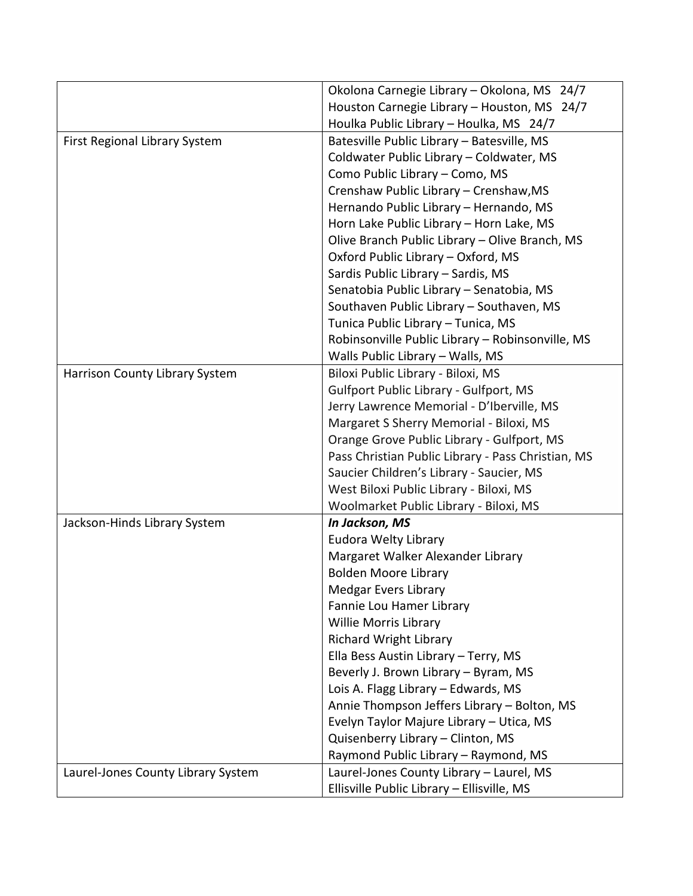|                                    | Okolona Carnegie Library - Okolona, MS 24/7        |
|------------------------------------|----------------------------------------------------|
|                                    | Houston Carnegie Library - Houston, MS 24/7        |
|                                    | Houlka Public Library - Houlka, MS 24/7            |
| First Regional Library System      | Batesville Public Library - Batesville, MS         |
|                                    | Coldwater Public Library - Coldwater, MS           |
|                                    | Como Public Library - Como, MS                     |
|                                    | Crenshaw Public Library - Crenshaw, MS             |
|                                    | Hernando Public Library - Hernando, MS             |
|                                    | Horn Lake Public Library - Horn Lake, MS           |
|                                    | Olive Branch Public Library - Olive Branch, MS     |
|                                    | Oxford Public Library - Oxford, MS                 |
|                                    | Sardis Public Library - Sardis, MS                 |
|                                    | Senatobia Public Library - Senatobia, MS           |
|                                    | Southaven Public Library - Southaven, MS           |
|                                    | Tunica Public Library - Tunica, MS                 |
|                                    | Robinsonville Public Library - Robinsonville, MS   |
|                                    | Walls Public Library - Walls, MS                   |
| Harrison County Library System     | Biloxi Public Library - Biloxi, MS                 |
|                                    | <b>Gulfport Public Library - Gulfport, MS</b>      |
|                                    | Jerry Lawrence Memorial - D'Iberville, MS          |
|                                    | Margaret S Sherry Memorial - Biloxi, MS            |
|                                    | Orange Grove Public Library - Gulfport, MS         |
|                                    | Pass Christian Public Library - Pass Christian, MS |
|                                    | Saucier Children's Library - Saucier, MS           |
|                                    | West Biloxi Public Library - Biloxi, MS            |
|                                    | Woolmarket Public Library - Biloxi, MS             |
| Jackson-Hinds Library System       | In Jackson, MS                                     |
|                                    | Eudora Welty Library                               |
|                                    | Margaret Walker Alexander Library                  |
|                                    | <b>Bolden Moore Library</b>                        |
|                                    | Medgar Evers Library                               |
|                                    | Fannie Lou Hamer Library                           |
|                                    | Willie Morris Library                              |
|                                    | <b>Richard Wright Library</b>                      |
|                                    | Ella Bess Austin Library - Terry, MS               |
|                                    | Beverly J. Brown Library - Byram, MS               |
|                                    | Lois A. Flagg Library - Edwards, MS                |
|                                    | Annie Thompson Jeffers Library - Bolton, MS        |
|                                    | Evelyn Taylor Majure Library - Utica, MS           |
|                                    | Quisenberry Library - Clinton, MS                  |
|                                    | Raymond Public Library - Raymond, MS               |
| Laurel-Jones County Library System | Laurel-Jones County Library - Laurel, MS           |
|                                    | Ellisville Public Library - Ellisville, MS         |